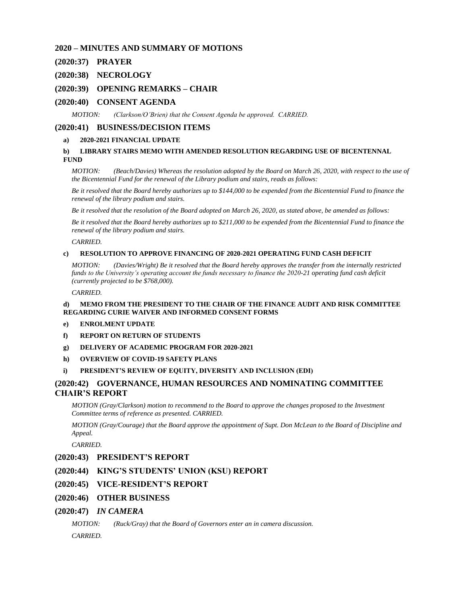### **2020 – MINUTES AND SUMMARY OF MOTIONS**

### **(2020:37) [PRAYER](#page-2-0)**

### **(2020:38) [NECROLOGY](#page-2-1)**

### **(2020:39) [OPENING REMARKS –](#page-2-2) CHAIR**

### **(2020:40) [CONSENT AGENDA](#page-2-3)**

*MOTION: [\(Clarkson/O'Brien\) that the Consent Agenda be approved. CARRIED.](#page-3-0)*

#### **(2020:41) [BUSINESS/DECISION ITEMS](#page-3-1)**

#### **a) [2020-2021 FINANCIAL UPDATE](#page-3-2)**

### **b) [LIBRARY STAIRS MEMO WITH AMENDED RESOLUTION REGARDING USE OF BICENTENNAL](#page-3-3)  [FUND](#page-3-3)**

*MOTION: [\(Beach/Davies\) Whereas the resolution adopted by the Board on March 26, 2020, with respect to the use of](#page-3-4)  [the Bicentennial Fund for the renewal of the Library podium and stairs, reads as follows:](#page-3-4)*

*[Be it resolved that the Board hereby authorizes up to \\$144,000 to be expended from the Bicentennial Fund to finance the](#page-3-5)  [renewal of the library podium and stairs.](#page-3-5)*

*[Be it resolved that the resolution of the Board adopted on March 26, 2020, as stated above, be amended as follows:](#page-3-6)*

*[Be it resolved that the Board hereby authorizes up to \\$211,000 to be expended from the Bicentennial Fund to finance the](#page-3-7)  [renewal of the library podium and stairs.](#page-3-7)*

*[CARRIED.](#page-3-8)*

#### **c) [RESOLUTION TO APPROVE FINANCING OF 2020-2021 OPERATING FUND CASH DEFICIT](#page-3-9)**

*MOTION: [\(Davies/Wright\) Be it resolved that the Board hereby approves the transfer from the internally restricted](#page-4-0)  [funds to the University's operating account the funds necessary to finance the 2020-21 operating fund cash deficit](#page-4-0)  [\(currently projected to be \\$768,000\).](#page-4-0)*

*[CARRIED.](#page-4-1)*

#### **d) [MEMO FROM THE PRESIDENT TO THE CHAIR OF THE FINANCE AUDIT AND RISK COMMITTEE](#page-4-2)  [REGARDING CURIE WAIVER AND INFORMED CONSENT FORMS](#page-4-2)**

#### **e) [ENROLMENT UPDATE](#page-4-3)**

- **[f\) REPORT ON RETURN OF STUDENTS](#page-5-0)**
- **[g\) DELIVERY OF ACADEMIC PROGRAM FOR 2020-2021](#page-5-1)**
- **[h\) OVERVIEW OF COVID-19 SAFETY PLANS](#page-7-0)**

#### **[i\) PRESIDENT'S REVIEW OF EQUITY, DIVERSITY AND INCLUSION \(EDI\)](#page-7-1)**

### **(2020:42) [GOVERNANCE, HUMAN RESOURCES AND NOMINATING COMMITTEE](#page-8-0)  [CHAIR'S REPORT](#page-8-0)**

*[MOTION \(Gray/Clarkson\) motion to recommend to the Board to approve the changes proposed to the Investment](#page-8-1)  [Committee terms of reference as presented. CARRIED.](#page-8-1)*

*MOTION (Gray/Courage) that the Board approve the appointment of Supt. Don McLean to the Board of Discipline and [Appeal.](#page-8-2)*

*[CARRIED.](#page-9-0)*

### **(2020:43) [PRESIDENT'S REPORT](#page-9-1)**

### **(2020:44) [KING'S STUDENTS' UNION \(KSU\) REPORT](#page-9-2)**

- **(2020:45) [VICE-RESIDENT'S REPORT](#page-10-0)**
- **(2020:46) [OTHER BUSINESS](#page-10-1)**

#### **(2020:47)** *[IN CAMERA](#page-10-2)*

*[MOTION: \(Ruck/Gray\) that the Board of Governors enter an in camera discussion.](#page-10-3) [CARRIED.](#page-10-4)*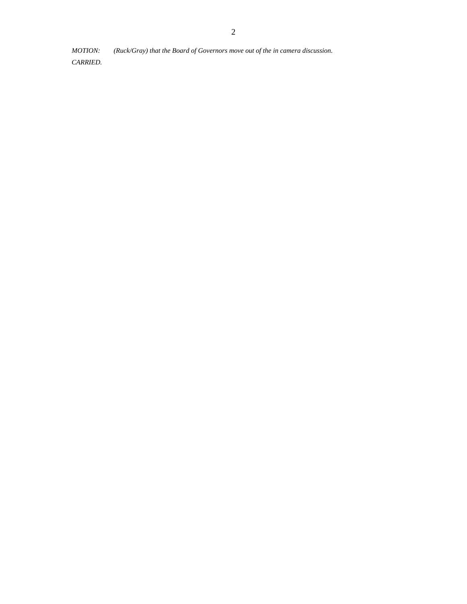*[MOTION: \(Ruck/Gray\) that the Board of Governors move out of the in camera discussion.](#page-10-5)*

*[CARRIED.](#page-10-6)*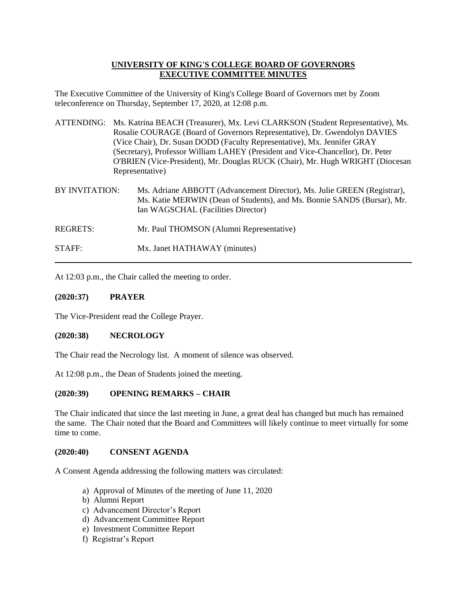# **UNIVERSITY OF KING'S COLLEGE BOARD OF GOVERNORS EXECUTIVE COMMITTEE MINUTES**

The Executive Committee of the University of King's College Board of Governors met by Zoom teleconference on Thursday, September 17, 2020, at 12:08 p.m.

- ATTENDING: Ms. Katrina BEACH (Treasurer), Mx. Levi CLARKSON (Student Representative), Ms. Rosalie COURAGE (Board of Governors Representative), Dr. Gwendolyn DAVIES (Vice Chair), Dr. Susan DODD (Faculty Representative), Mx. Jennifer GRAY (Secretary), Professor William LAHEY (President and Vice-Chancellor), Dr. Peter O'BRIEN (Vice-President), Mr. Douglas RUCK (Chair), Mr. Hugh WRIGHT (Diocesan Representative)
- BY INVITATION: Ms. Adriane ABBOTT (Advancement Director), Ms. Julie GREEN (Registrar), Ms. Katie MERWIN (Dean of Students), and Ms. Bonnie SANDS (Bursar), Mr. Ian WAGSCHAL (Facilities Director)
- REGRETS: Mr. Paul THOMSON (Alumni Representative)
- STAFF: Mx. Janet HATHAWAY (minutes)

At 12:03 p.m., the Chair called the meeting to order.

# <span id="page-2-0"></span>**(2020:37) PRAYER**

The Vice-President read the College Prayer.

# <span id="page-2-1"></span>**(2020:38) NECROLOGY**

The Chair read the Necrology list. A moment of silence was observed.

At 12:08 p.m., the Dean of Students joined the meeting.

# <span id="page-2-2"></span>**(2020:39) OPENING REMARKS – CHAIR**

The Chair indicated that since the last meeting in June, a great deal has changed but much has remained the same. The Chair noted that the Board and Committees will likely continue to meet virtually for some time to come.

### <span id="page-2-3"></span>**(2020:40) CONSENT AGENDA**

A Consent Agenda addressing the following matters was circulated:

- a) Approval of Minutes of the meeting of June 11, 2020
- b) Alumni Report
- c) Advancement Director's Report
- d) Advancement Committee Report
- e) Investment Committee Report
- f) Registrar's Report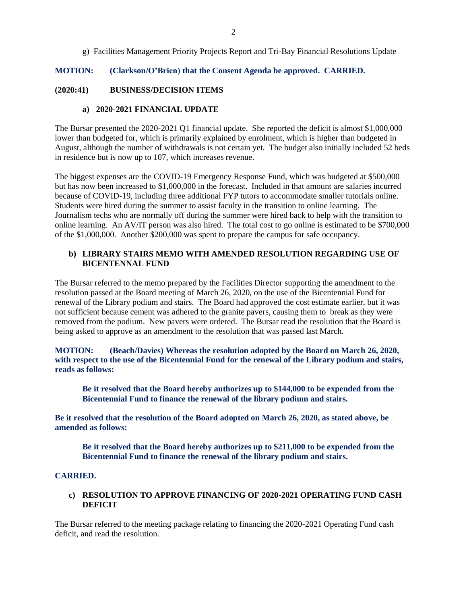g) Facilities Management Priority Projects Report and Tri-Bay Financial Resolutions Update

## <span id="page-3-0"></span>**MOTION: (Clarkson/O'Brien) that the Consent Agenda be approved. CARRIED.**

### <span id="page-3-2"></span><span id="page-3-1"></span>**(2020:41) BUSINESS/DECISION ITEMS**

### **a) 2020-2021 FINANCIAL UPDATE**

The Bursar presented the 2020-2021 Q1 financial update. She reported the deficit is almost \$1,000,000 lower than budgeted for, which is primarily explained by enrolment, which is higher than budgeted in August, although the number of withdrawals is not certain yet. The budget also initially included 52 beds in residence but is now up to 107, which increases revenue.

The biggest expenses are the COVID-19 Emergency Response Fund, which was budgeted at \$500,000 but has now been increased to \$1,000,000 in the forecast. Included in that amount are salaries incurred because of COVID-19, including three additional FYP tutors to accommodate smaller tutorials online. Students were hired during the summer to assist faculty in the transition to online learning. The Journalism techs who are normally off during the summer were hired back to help with the transition to online learning. An AV/IT person was also hired. The total cost to go online is estimated to be \$700,000 of the \$1,000,000. Another \$200,000 was spent to prepare the campus for safe occupancy.

## <span id="page-3-3"></span>**b) LIBRARY STAIRS MEMO WITH AMENDED RESOLUTION REGARDING USE OF BICENTENNAL FUND**

The Bursar referred to the memo prepared by the Facilities Director supporting the amendment to the resolution passed at the Board meeting of March 26, 2020, on the use of the Bicentennial Fund for renewal of the Library podium and stairs. The Board had approved the cost estimate earlier, but it was not sufficient because cement was adhered to the granite pavers, causing them to break as they were removed from the podium. New pavers were ordered. The Bursar read the resolution that the Board is being asked to approve as an amendment to the resolution that was passed last March.

<span id="page-3-4"></span>**MOTION: (Beach/Davies) Whereas the resolution adopted by the Board on March 26, 2020, with respect to the use of the Bicentennial Fund for the renewal of the Library podium and stairs, reads as follows:**

<span id="page-3-5"></span>**Be it resolved that the Board hereby authorizes up to \$144,000 to be expended from the Bicentennial Fund to finance the renewal of the library podium and stairs.**

<span id="page-3-7"></span><span id="page-3-6"></span>**Be it resolved that the resolution of the Board adopted on March 26, 2020, as stated above, be amended as follows:**

**Be it resolved that the Board hereby authorizes up to \$211,000 to be expended from the Bicentennial Fund to finance the renewal of the library podium and stairs.**

### <span id="page-3-8"></span>**CARRIED.**

# <span id="page-3-9"></span>**c) RESOLUTION TO APPROVE FINANCING OF 2020-2021 OPERATING FUND CASH DEFICIT**

The Bursar referred to the meeting package relating to financing the 2020-2021 Operating Fund cash deficit, and read the resolution.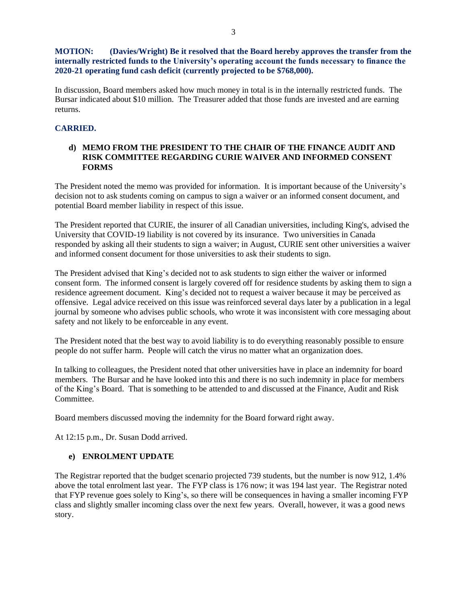# <span id="page-4-0"></span>**MOTION: (Davies/Wright) Be it resolved that the Board hereby approves the transfer from the internally restricted funds to the University's operating account the funds necessary to finance the 2020-21 operating fund cash deficit (currently projected to be \$768,000).**

In discussion, Board members asked how much money in total is in the internally restricted funds. The Bursar indicated about \$10 million. The Treasurer added that those funds are invested and are earning returns.

# <span id="page-4-1"></span>**CARRIED.**

# <span id="page-4-2"></span>**d) MEMO FROM THE PRESIDENT TO THE CHAIR OF THE FINANCE AUDIT AND RISK COMMITTEE REGARDING CURIE WAIVER AND INFORMED CONSENT FORMS**

The President noted the memo was provided for information. It is important because of the University's decision not to ask students coming on campus to sign a waiver or an informed consent document, and potential Board member liability in respect of this issue.

The President reported that CURIE, the insurer of all Canadian universities, including King's, advised the University that COVID-19 liability is not covered by its insurance. Two universities in Canada responded by asking all their students to sign a waiver; in August, CURIE sent other universities a waiver and informed consent document for those universities to ask their students to sign.

The President advised that King's decided not to ask students to sign either the waiver or informed consent form. The informed consent is largely covered off for residence students by asking them to sign a residence agreement document. King's decided not to request a waiver because it may be perceived as offensive. Legal advice received on this issue was reinforced several days later by a publication in a legal journal by someone who advises public schools, who wrote it was inconsistent with core messaging about safety and not likely to be enforceable in any event.

The President noted that the best way to avoid liability is to do everything reasonably possible to ensure people do not suffer harm. People will catch the virus no matter what an organization does.

In talking to colleagues, the President noted that other universities have in place an indemnity for board members. The Bursar and he have looked into this and there is no such indemnity in place for members of the King's Board. That is something to be attended to and discussed at the Finance, Audit and Risk Committee.

Board members discussed moving the indemnity for the Board forward right away.

At 12:15 p.m., Dr. Susan Dodd arrived.

# <span id="page-4-3"></span>**e) ENROLMENT UPDATE**

The Registrar reported that the budget scenario projected 739 students, but the number is now 912, 1.4% above the total enrolment last year. The FYP class is 176 now; it was 194 last year. The Registrar noted that FYP revenue goes solely to King's, so there will be consequences in having a smaller incoming FYP class and slightly smaller incoming class over the next few years. Overall, however, it was a good news story.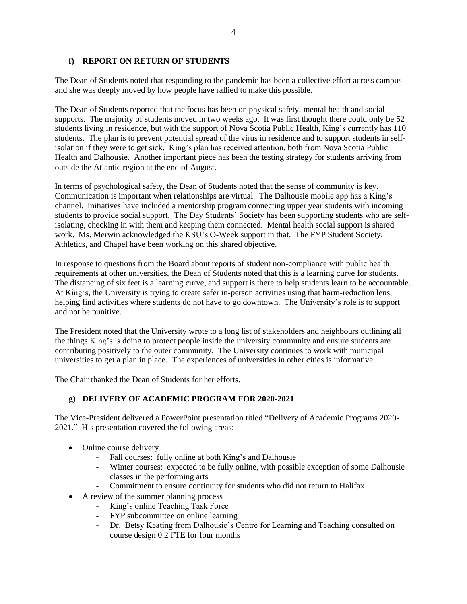# <span id="page-5-0"></span>**f) REPORT ON RETURN OF STUDENTS**

The Dean of Students noted that responding to the pandemic has been a collective effort across campus and she was deeply moved by how people have rallied to make this possible.

The Dean of Students reported that the focus has been on physical safety, mental health and social supports. The majority of students moved in two weeks ago. It was first thought there could only be 52 students living in residence, but with the support of Nova Scotia Public Health, King's currently has 110 students. The plan is to prevent potential spread of the virus in residence and to support students in selfisolation if they were to get sick. King's plan has received attention, both from Nova Scotia Public Health and Dalhousie. Another important piece has been the testing strategy for students arriving from outside the Atlantic region at the end of August.

In terms of psychological safety, the Dean of Students noted that the sense of community is key. Communication is important when relationships are virtual. The Dalhousie mobile app has a King's channel. Initiatives have included a mentorship program connecting upper year students with incoming students to provide social support. The Day Students' Society has been supporting students who are selfisolating, checking in with them and keeping them connected. Mental health social support is shared work. Ms. Merwin acknowledged the KSU's O-Week support in that. The FYP Student Society, Athletics, and Chapel have been working on this shared objective.

In response to questions from the Board about reports of student non-compliance with public health requirements at other universities, the Dean of Students noted that this is a learning curve for students. The distancing of six feet is a learning curve, and support is there to help students learn to be accountable. At King's, the University is trying to create safer in-person activities using that harm-reduction lens, helping find activities where students do not have to go downtown. The University's role is to support and not be punitive.

The President noted that the University wrote to a long list of stakeholders and neighbours outlining all the things King's is doing to protect people inside the university community and ensure students are contributing positively to the outer community. The University continues to work with municipal universities to get a plan in place. The experiences of universities in other cities is informative.

The Chair thanked the Dean of Students for her efforts.

# <span id="page-5-1"></span>**g) DELIVERY OF ACADEMIC PROGRAM FOR 2020-2021**

The Vice-President delivered a PowerPoint presentation titled "Delivery of Academic Programs 2020- 2021." His presentation covered the following areas:

- Online course delivery
	- Fall courses: fully online at both King's and Dalhousie
	- Winter courses: expected to be fully online, with possible exception of some Dalhousie classes in the performing arts
	- Commitment to ensure continuity for students who did not return to Halifax
- A review of the summer planning process
	- King's online Teaching Task Force
	- FYP subcommittee on online learning
	- Dr. Betsy Keating from Dalhousie's Centre for Learning and Teaching consulted on course design 0.2 FTE for four months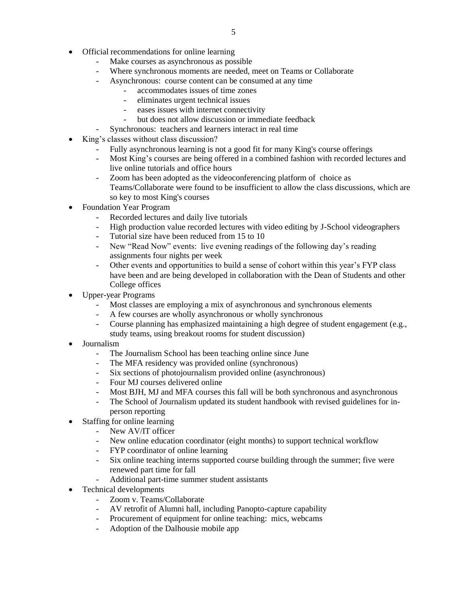- Official recommendations for online learning
	- Make courses as asynchronous as possible
	- Where synchronous moments are needed, meet on Teams or Collaborate
	- Asynchronous: course content can be consumed at any time
		- accommodates issues of time zones
		- eliminates urgent technical issues
		- eases issues with internet connectivity
		- but does not allow discussion or immediate feedback
		- Synchronous: teachers and learners interact in real time
- King's classes without class discussion?
	- Fully asynchronous learning is not a good fit for many King's course offerings
	- Most King's courses are being offered in a combined fashion with recorded lectures and live online tutorials and office hours
	- Zoom has been adopted as the videoconferencing platform of choice as Teams/Collaborate were found to be insufficient to allow the class discussions, which are so key to most King's courses
- Foundation Year Program
	- Recorded lectures and daily live tutorials
	- High production value recorded lectures with video editing by J-School videographers
	- Tutorial size have been reduced from 15 to 10
	- New "Read Now" events: live evening readings of the following day's reading assignments four nights per week
	- Other events and opportunities to build a sense of cohort within this year's FYP class have been and are being developed in collaboration with the Dean of Students and other College offices
- Upper-year Programs
	- Most classes are employing a mix of asynchronous and synchronous elements
	- A few courses are wholly asynchronous or wholly synchronous
	- Course planning has emphasized maintaining a high degree of student engagement (e.g., study teams, using breakout rooms for student discussion)
- Journalism
	- The Journalism School has been teaching online since June
	- The MFA residency was provided online (synchronous)
	- Six sections of photojournalism provided online (asynchronous)
	- Four MJ courses delivered online
	- Most BJH, MJ and MFA courses this fall will be both synchronous and asynchronous
	- The School of Journalism updated its student handbook with revised guidelines for inperson reporting
- Staffing for online learning
	- New AV/IT officer
	- New online education coordinator (eight months) to support technical workflow
	- FYP coordinator of online learning
	- Six online teaching interns supported course building through the summer; five were renewed part time for fall
	- Additional part-time summer student assistants
- Technical developments
	- Zoom v. Teams/Collaborate
	- AV retrofit of Alumni hall, including Panopto-capture capability
	- Procurement of equipment for online teaching: mics, webcams
	- Adoption of the Dalhousie mobile app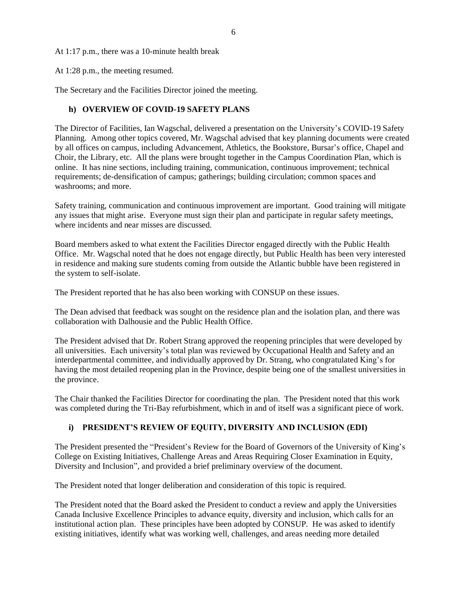6

At 1:17 p.m., there was a 10-minute health break

At 1:28 p.m., the meeting resumed.

The Secretary and the Facilities Director joined the meeting.

# <span id="page-7-0"></span>**h) OVERVIEW OF COVID-19 SAFETY PLANS**

The Director of Facilities, Ian Wagschal, delivered a presentation on the University's COVID-19 Safety Planning. Among other topics covered, Mr. Wagschal advised that key planning documents were created by all offices on campus, including Advancement, Athletics, the Bookstore, Bursar's office, Chapel and Choir, the Library, etc. All the plans were brought together in the Campus Coordination Plan, which is online. It has nine sections, including training, communication, continuous improvement; technical requirements; de-densification of campus; gatherings; building circulation; common spaces and washrooms; and more.

Safety training, communication and continuous improvement are important. Good training will mitigate any issues that might arise. Everyone must sign their plan and participate in regular safety meetings, where incidents and near misses are discussed.

Board members asked to what extent the Facilities Director engaged directly with the Public Health Office. Mr. Wagschal noted that he does not engage directly, but Public Health has been very interested in residence and making sure students coming from outside the Atlantic bubble have been registered in the system to self-isolate.

The President reported that he has also been working with CONSUP on these issues.

The Dean advised that feedback was sought on the residence plan and the isolation plan, and there was collaboration with Dalhousie and the Public Health Office.

The President advised that Dr. Robert Strang approved the reopening principles that were developed by all universities. Each university's total plan was reviewed by Occupational Health and Safety and an interdepartmental committee, and individually approved by Dr. Strang, who congratulated King's for having the most detailed reopening plan in the Province, despite being one of the smallest universities in the province.

The Chair thanked the Facilities Director for coordinating the plan. The President noted that this work was completed during the Tri-Bay refurbishment, which in and of itself was a significant piece of work.

# <span id="page-7-1"></span>**i) PRESIDENT'S REVIEW OF EQUITY, DIVERSITY AND INCLUSION (EDI)**

The President presented the "President's Review for the Board of Governors of the University of King's College on Existing Initiatives, Challenge Areas and Areas Requiring Closer Examination in Equity, Diversity and Inclusion", and provided a brief preliminary overview of the document.

The President noted that longer deliberation and consideration of this topic is required.

The President noted that the Board asked the President to conduct a review and apply the Universities Canada Inclusive Excellence Principles to advance equity, diversity and inclusion, which calls for an institutional action plan. These principles have been adopted by CONSUP. He was asked to identify existing initiatives, identify what was working well, challenges, and areas needing more detailed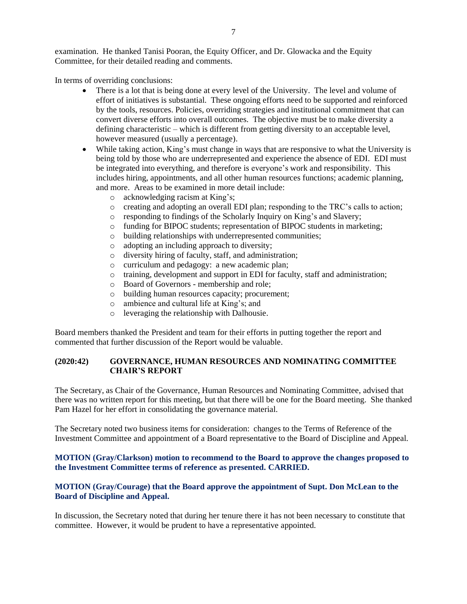examination. He thanked Tanisi Pooran, the Equity Officer, and Dr. Glowacka and the Equity Committee, for their detailed reading and comments.

In terms of overriding conclusions:

- There is a lot that is being done at every level of the University. The level and volume of effort of initiatives is substantial. These ongoing efforts need to be supported and reinforced by the tools, resources. Policies, overriding strategies and institutional commitment that can convert diverse efforts into overall outcomes. The objective must be to make diversity a defining characteristic – which is different from getting diversity to an acceptable level, however measured (usually a percentage).
- While taking action, King's must change in ways that are responsive to what the University is being told by those who are underrepresented and experience the absence of EDI. EDI must be integrated into everything, and therefore is everyone's work and responsibility. This includes hiring, appointments, and all other human resources functions; academic planning, and more. Areas to be examined in more detail include:
	- o acknowledging racism at King's;
	- o creating and adopting an overall EDI plan; responding to the TRC's calls to action;
	- o responding to findings of the Scholarly Inquiry on King's and Slavery;
	- o funding for BIPOC students; representation of BIPOC students in marketing;
	- o building relationships with underrepresented communities;
	- o adopting an including approach to diversity;
	- o diversity hiring of faculty, staff, and administration;
	- o curriculum and pedagogy: a new academic plan;
	- o training, development and support in EDI for faculty, staff and administration;
	- o Board of Governors membership and role;
	- o building human resources capacity; procurement;
	- o ambience and cultural life at King's; and
	- o leveraging the relationship with Dalhousie.

Board members thanked the President and team for their efforts in putting together the report and commented that further discussion of the Report would be valuable.

# <span id="page-8-0"></span>**(2020:42) GOVERNANCE, HUMAN RESOURCES AND NOMINATING COMMITTEE CHAIR'S REPORT**

The Secretary, as Chair of the Governance, Human Resources and Nominating Committee, advised that there was no written report for this meeting, but that there will be one for the Board meeting. She thanked Pam Hazel for her effort in consolidating the governance material.

The Secretary noted two business items for consideration: changes to the Terms of Reference of the Investment Committee and appointment of a Board representative to the Board of Discipline and Appeal.

<span id="page-8-1"></span>**MOTION (Gray/Clarkson) motion to recommend to the Board to approve the changes proposed to the Investment Committee terms of reference as presented. CARRIED.**

# <span id="page-8-2"></span>**MOTION (Gray/Courage) that the Board approve the appointment of Supt. Don McLean to the Board of Discipline and Appeal.**

In discussion, the Secretary noted that during her tenure there it has not been necessary to constitute that committee. However, it would be prudent to have a representative appointed.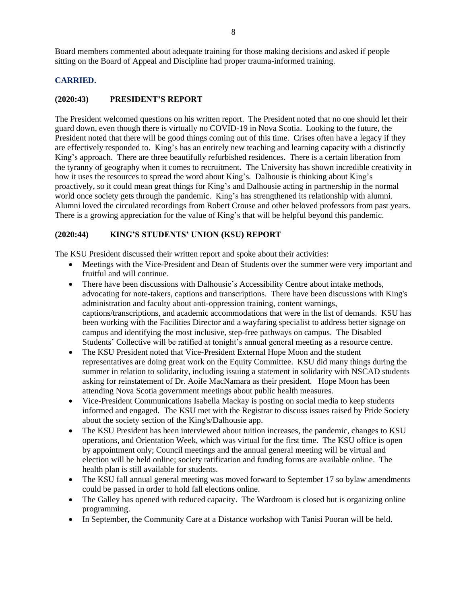Board members commented about adequate training for those making decisions and asked if people sitting on the Board of Appeal and Discipline had proper trauma-informed training.

# <span id="page-9-0"></span>**CARRIED.**

## <span id="page-9-1"></span>**(2020:43) PRESIDENT'S REPORT**

The President welcomed questions on his written report. The President noted that no one should let their guard down, even though there is virtually no COVID-19 in Nova Scotia. Looking to the future, the President noted that there will be good things coming out of this time. Crises often have a legacy if they are effectively responded to. King's has an entirely new teaching and learning capacity with a distinctly King's approach. There are three beautifully refurbished residences. There is a certain liberation from the tyranny of geography when it comes to recruitment. The University has shown incredible creativity in how it uses the resources to spread the word about King's. Dalhousie is thinking about King's proactively, so it could mean great things for King's and Dalhousie acting in partnership in the normal world once society gets through the pandemic. King's has strengthened its relationship with alumni. Alumni loved the circulated recordings from Robert Crouse and other beloved professors from past years. There is a growing appreciation for the value of King's that will be helpful beyond this pandemic.

# <span id="page-9-2"></span>**(2020:44) KING'S STUDENTS' UNION (KSU) REPORT**

The KSU President discussed their written report and spoke about their activities:

- Meetings with the Vice-President and Dean of Students over the summer were very important and fruitful and will continue.
- There have been discussions with Dalhousie's Accessibility Centre about intake methods, advocating for note-takers, captions and transcriptions. There have been discussions with King's administration and faculty about anti-oppression training, content warnings, captions/transcriptions, and academic accommodations that were in the list of demands. KSU has been working with the Facilities Director and a wayfaring specialist to address better signage on campus and identifying the most inclusive, step-free pathways on campus. The Disabled Students' Collective will be ratified at tonight's annual general meeting as a resource centre.
- The KSU President noted that Vice-President External Hope Moon and the student representatives are doing great work on the Equity Committee. KSU did many things during the summer in relation to solidarity, including issuing a statement in solidarity with NSCAD students asking for reinstatement of Dr. Aoife MacNamara as their president. Hope Moon has been attending Nova Scotia government meetings about public health measures.
- Vice-President Communications Isabella Mackay is posting on social media to keep students informed and engaged. The KSU met with the Registrar to discuss issues raised by Pride Society about the society section of the King's/Dalhousie app.
- The KSU President has been interviewed about tuition increases, the pandemic, changes to KSU operations, and Orientation Week, which was virtual for the first time. The KSU office is open by appointment only; Council meetings and the annual general meeting will be virtual and election will be held online; society ratification and funding forms are available online. The health plan is still available for students.
- The KSU fall annual general meeting was moved forward to September 17 so bylaw amendments could be passed in order to hold fall elections online.
- The Galley has opened with reduced capacity. The Wardroom is closed but is organizing online programming.
- In September, the Community Care at a Distance workshop with Tanisi Pooran will be held.